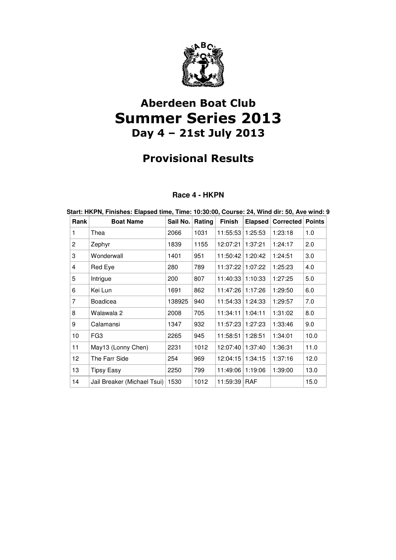

# Aberdeen Boat Club Summer Series 2013 Day 4 – 21st July 2013

## Provisional Results

### **Race 4 - HKPN**

| Start: HKPN, Finishes: Elapsed time, Time: 10:30:00, Course: 24, Wind dir: 50, Ave wind: 9 |                             |                 |      |                    |         |           |               |
|--------------------------------------------------------------------------------------------|-----------------------------|-----------------|------|--------------------|---------|-----------|---------------|
| Rank                                                                                       | <b>Boat Name</b>            | Sail No. Rating |      | <b>Finish</b>      | Elapsed | Corrected | <b>Points</b> |
| 1                                                                                          | Thea                        | 2066            | 1031 | 11:55:53           | 1:25:53 | 1:23:18   | 1.0           |
| $\overline{2}$                                                                             | Zephyr                      | 1839            | 1155 | 12:07:21           | 1:37:21 | 1:24:17   | 2.0           |
| 3                                                                                          | Wonderwall                  | 1401            | 951  | 11:50:42   1:20:42 |         | 1:24:51   | 3.0           |
| 4                                                                                          | Red Eye                     | 280             | 789  | 11:37:22 1:07:22   |         | 1:25:23   | 4.0           |
| 5                                                                                          | Intrigue                    | 200             | 807  | 11:40:33 1:10:33   |         | 1:27:25   | 5.0           |
| 6                                                                                          | Kei Lun                     | 1691            | 862  | 11:47:26   1:17:26 |         | 1:29:50   | 6.0           |
| $\overline{7}$                                                                             | Boadicea                    | 138925          | 940  | 11:54:33 1:24:33   |         | 1:29:57   | 7.0           |
| 8                                                                                          | Walawala 2                  | 2008            | 705  | 11:34:11           | 1:04:11 | 1:31:02   | 8.0           |
| 9                                                                                          | Calamansi                   | 1347            | 932  | 11:57:23   1:27:23 |         | 1:33:46   | 9.0           |
| 10                                                                                         | FG3                         | 2265            | 945  | 11:58:51           | 1:28:51 | 1:34:01   | 10.0          |
| 11                                                                                         | May13 (Lonny Chen)          | 2231            | 1012 | 12:07:40           | 1:37:40 | 1:36:31   | 11.0          |
| 12                                                                                         | The Farr Side               | 254             | 969  | 12:04:15   1:34:15 |         | 1:37:16   | 12.0          |
| 13                                                                                         | <b>Tipsy Easy</b>           | 2250            | 799  | 11:49:06           | 1:19:06 | 1:39:00   | 13.0          |
| 14                                                                                         | Jail Breaker (Michael Tsui) | 1530            | 1012 | 11:59:39 RAF       |         |           | 15.0          |